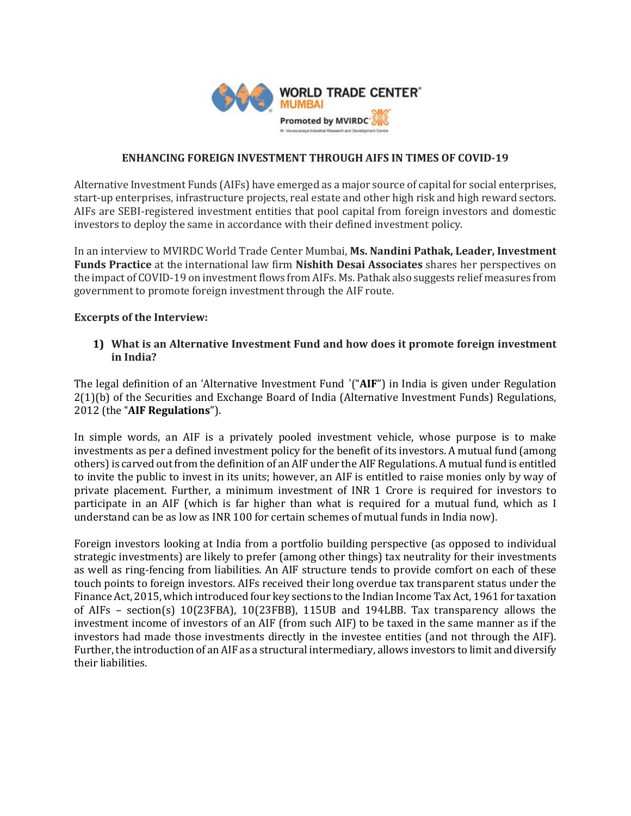

# **ENHANCING FOREIGN INVESTMENT THROUGH AIFS IN TIMES OF COVID-19**

Alternative Investment Funds (AIFs) have emerged as a major source of capital for social enterprises, start-up enterprises, infrastructure projects, real estate and other high risk and high reward sectors. AIFs are SEBI-registered investment entities that pool capital from foreign investors and domestic investors to deploy the same in accordance with their defined investment policy.

In an interview to MVIRDC World Trade Center Mumbai, **Ms. Nandini Pathak, Leader, Investment Funds Practice** at the international law firm **Nishith Desai Associates** shares her perspectives on the impact of COVID-19 on investmentflows from AIFs. Ms. Pathak also suggests relief measures from government to promote foreign investment through the AIF route.

# **Excerpts of the Interview:**

# **1) What is an Alternative Investment Fund and how does it promote foreign investment in India?**

The legal definition of an 'Alternative Investment Fund '("**AIF**") in India is given under Regulation 2(1)(b) of the Securities and Exchange Board of India (Alternative Investment Funds) Regulations, 2012 (the "**AIF Regulations**").

In simple words, an AIF is a privately pooled investment vehicle, whose purpose is to make investments as per a defined investment policy for the benefit of its investors. A mutual fund (among others) is carved out from the definition of an AIF under the AIF Regulations. A mutual fund is entitled to invite the public to invest in its units; however, an AIF is entitled to raise monies only by way of private placement. Further, a minimum investment of INR 1 Crore is required for investors to participate in an AIF (which is far higher than what is required for a mutual fund, which as I understand can be as low as INR 100 for certain schemes of mutual funds in India now).

Foreign investors looking at India from a portfolio building perspective (as opposed to individual strategic investments) are likely to prefer (among other things) tax neutrality for their investments as well as ring-fencing from liabilities. An AIF structure tends to provide comfort on each of these touch points to foreign investors. AIFs received their long overdue tax transparent status under the Finance Act, 2015, which introduced four key sections to the Indian Income Tax Act, 1961 for taxation of AIFs – section(s) 10(23FBA), 10(23FBB), 115UB and 194LBB. Tax transparency allows the investment income of investors of an AIF (from such AIF) to be taxed in the same manner as if the investors had made those investments directly in the investee entities (and not through the AIF). Further, the introduction of an AIF as a structural intermediary, allows investors to limit and diversify their liabilities.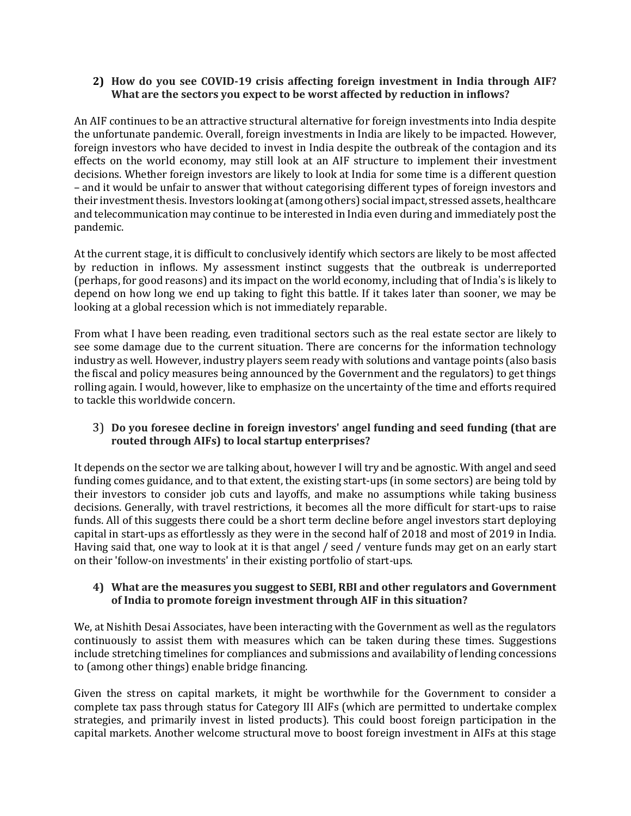# **2) How do you see COVID-19 crisis affecting foreign investment in India through AIF? What are the sectors you expect to be worst affected by reduction in inflows?**

An AIF continues to be an attractive structural alternative for foreign investments into India despite the unfortunate pandemic. Overall, foreign investments in India are likely to be impacted. However, foreign investors who have decided to invest in India despite the outbreak of the contagion and its effects on the world economy, may still look at an AIF structure to implement their investment decisions. Whether foreign investors are likely to look at India for some time is a different question – and it would be unfair to answer that without categorising different types of foreign investors and their investment thesis. Investors looking at (among others) social impact, stressed assets, healthcare and telecommunication may continue to be interested in India even during and immediately post the pandemic.

At the current stage, it is difficult to conclusively identify which sectors are likely to be most affected by reduction in inflows. My assessment instinct suggests that the outbreak is underreported (perhaps, for good reasons) and its impact on the world economy, including that of India's is likely to depend on how long we end up taking to fight this battle. If it takes later than sooner, we may be looking at a global recession which is not immediately reparable.

From what I have been reading, even traditional sectors such as the real estate sector are likely to see some damage due to the current situation. There are concerns for the information technology industry as well. However, industry players seem ready with solutions and vantage points (also basis the fiscal and policy measures being announced by the Government and the regulators) to get things rolling again. I would, however, like to emphasize on the uncertainty of the time and efforts required to tackle this worldwide concern.

# 3) **Do you foresee decline in foreign investors' angel funding and seed funding (that are routed through AIFs) to local startup enterprises?**

It depends on the sector we are talking about, however I will try and be agnostic. With angel and seed funding comes guidance, and to that extent, the existing start-ups (in some sectors) are being told by their investors to consider job cuts and layoffs, and make no assumptions while taking business decisions. Generally, with travel restrictions, it becomes all the more difficult for start-ups to raise funds. All of this suggests there could be a short term decline before angel investors start deploying capital in start-ups as effortlessly as they were in the second half of 2018 and most of 2019 in India. Having said that, one way to look at it is that angel / seed / venture funds may get on an early start on their 'follow-on investments' in their existing portfolio of start-ups.

# **4) What are the measures you suggest to SEBI, RBI and other regulators and Government of India to promote foreign investment through AIF in this situation?**

We, at Nishith Desai Associates, have been interacting with the Government as well as the regulators continuously to assist them with measures which can be taken during these times. Suggestions include stretching timelines for compliances and submissions and availability of lending concessions to (among other things) enable bridge financing.

Given the stress on capital markets, it might be worthwhile for the Government to consider a complete tax pass through status for Category III AIFs (which are permitted to undertake complex strategies, and primarily invest in listed products). This could boost foreign participation in the capital markets. Another welcome structural move to boost foreign investment in AIFs at this stage